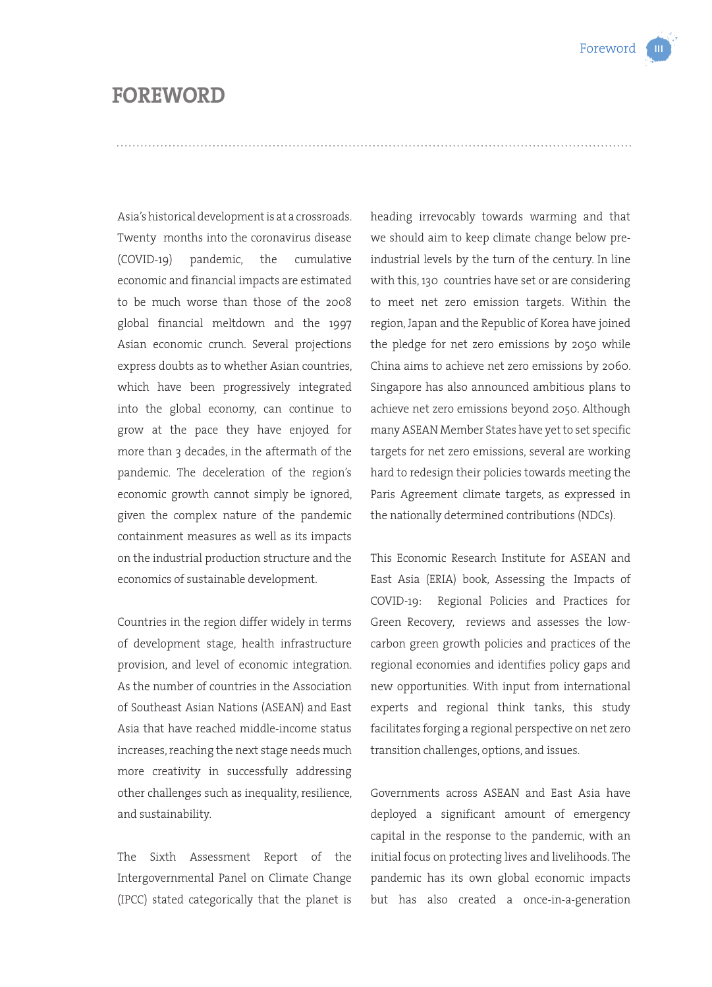## **FOREWORD**

Asia's historical development is at a crossroads. Twenty months into the coronavirus disease (COVID-19) pandemic, the cumulative economic and financial impacts are estimated to be much worse than those of the 2008 global financial meltdown and the 1997 Asian economic crunch. Several projections express doubts as to whether Asian countries, which have been progressively integrated into the global economy, can continue to grow at the pace they have enjoyed for more than 3 decades, in the aftermath of the pandemic. The deceleration of the region's economic growth cannot simply be ignored, given the complex nature of the pandemic containment measures as well as its impacts on the industrial production structure and the economics of sustainable development.

Countries in the region differ widely in terms of development stage, health infrastructure provision, and level of economic integration. As the number of countries in the Association of Southeast Asian Nations (ASEAN) and East Asia that have reached middle-income status increases, reaching the next stage needs much more creativity in successfully addressing other challenges such as inequality, resilience, and sustainability.

The Sixth Assessment Report of the Intergovernmental Panel on Climate Change (IPCC) stated categorically that the planet is heading irrevocably towards warming and that we should aim to keep climate change below preindustrial levels by the turn of the century. In line with this, 130 countries have set or are considering to meet net zero emission targets. Within the region, Japan and the Republic of Korea have joined the pledge for net zero emissions by 2050 while China aims to achieve net zero emissions by 2060. Singapore has also announced ambitious plans to achieve net zero emissions beyond 2050. Although many ASEAN Member States have yet to set specific targets for net zero emissions, several are working hard to redesign their policies towards meeting the Paris Agreement climate targets, as expressed in the nationally determined contributions (NDCs).

This Economic Research Institute for ASEAN and East Asia (ERIA) book, Assessing the Impacts of COVID-19: Regional Policies and Practices for Green Recovery, reviews and assesses the lowcarbon green growth policies and practices of the regional economies and identifies policy gaps and new opportunities. With input from international experts and regional think tanks, this study facilitates forging a regional perspective on net zero transition challenges, options, and issues.

Governments across ASEAN and East Asia have deployed a significant amount of emergency capital in the response to the pandemic, with an initial focus on protecting lives and livelihoods. The pandemic has its own global economic impacts but has also created a once-in-a-generation